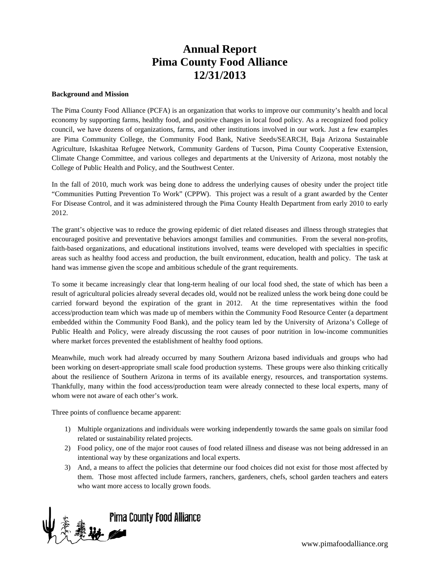# **Annual Report Pima County Food Alliance 12/31/2013**

#### **Background and Mission**

The Pima County Food Alliance (PCFA) is an organization that works to improve our community's health and local economy by supporting farms, healthy food, and positive changes in local food policy. As a recognized food policy council, we have dozens of organizations, farms, and other institutions involved in our work. Just a few examples are Pima Community College, the Community Food Bank, Native Seeds/SEARCH, Baja Arizona Sustainable Agriculture, Iskashitaa Refugee Network, Community Gardens of Tucson, Pima County Cooperative Extension, Climate Change Committee, and various colleges and departments at the University of Arizona, most notably the College of Public Health and Policy, and the Southwest Center.

In the fall of 2010, much work was being done to address the underlying causes of obesity under the project title "Communities Putting Prevention To Work" (CPPW). This project was a result of a grant awarded by the Center For Disease Control, and it was administered through the Pima County Health Department from early 2010 to early 2012.

The grant's objective was to reduce the growing epidemic of diet related diseases and illness through strategies that encouraged positive and preventative behaviors amongst families and communities. From the several non-profits, faith-based organizations, and educational institutions involved, teams were developed with specialties in specific areas such as healthy food access and production, the built environment, education, health and policy. The task at hand was immense given the scope and ambitious schedule of the grant requirements.

To some it became increasingly clear that long-term healing of our local food shed, the state of which has been a result of agricultural policies already several decades old, would not be realized unless the work being done could be carried forward beyond the expiration of the grant in 2012. At the time representatives within the food access/production team which was made up of members within the Community Food Resource Center (a department embedded within the Community Food Bank), and the policy team led by the University of Arizona's College of Public Health and Policy, were already discussing the root causes of poor nutrition in low-income communities where market forces prevented the establishment of healthy food options.

Meanwhile, much work had already occurred by many Southern Arizona based individuals and groups who had been working on desert-appropriate small scale food production systems. These groups were also thinking critically about the resilience of Southern Arizona in terms of its available energy, resources, and transportation systems. Thankfully, many within the food access/production team were already connected to these local experts, many of whom were not aware of each other's work.

Three points of confluence became apparent:

- 1) Multiple organizations and individuals were working independently towards the same goals on similar food related or sustainability related projects.
- 2) Food policy, one of the major root causes of food related illness and disease was not being addressed in an intentional way by these organizations and local experts.
- 3) And, a means to affect the policies that determine our food choices did not exist for those most affected by them. Those most affected include farmers, ranchers, gardeners, chefs, school garden teachers and eaters who want more access to locally grown foods.



www.pimafoodalliance.org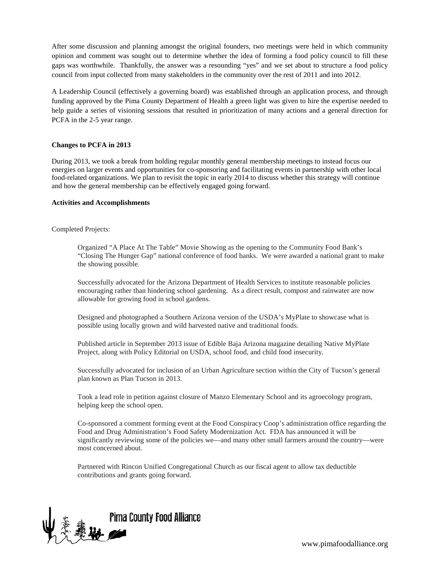After some discussion and planning amongst the original founders, two meetings were held in which community opinion and comment was sought out to determine whether the idea of forming a food policy council to fill these gaps was worthwhile. Thankfully, the answer was a resounding "yes" and we set about to structure a food policy council from input collected from many stakeholders in the community over the rest of 2011 and into 2012.

A Leadership Council (effectively a governing board) was established through an application process, and through funding approved by the Pima County Department of Health a green light was given to hire the expertise needed to help guide a series of visioning sessions that resulted in prioritization of many actions and a general direction for PCFA in the 2-5 year range.

## **Changes to PCFA in 2013**

During 2013, we took a break from holding regular monthly general membership meetings to instead focus our energies on larger events and opportunities for co-sponsoring and facilitating events in partnership with other local food-related organizations. We plan to revisit the topic in early 2014 to discuss whether this strategy will continue and how the general membership can be effectively engaged going forward.

#### **Activities and Accomplishments**

Completed Projects:

Organized "A Place At The Table" Movie Showing as the opening to the Community Food Bank's "Closing The Hunger Gap" national conference of food banks. We were awarded a national grant to make the showing possible.

Successfully advocated for the Arizona Department of Health Services to institute reasonable policies encouraging rather than hindering school gardening. As a direct result, compost and rainwater are now allowable for growing food in school gardens.

Designed and photographed a Southern Arizona version of the USDA's MyPlate to showcase what is possible using locally grown and wild harvested native and traditional foods.

Published article in September 2013 issue of Edible Baja Arizona magazine detailing Native MyPlate Project, along with Policy Editorial on USDA, school food, and child food insecurity.

Successfully advocated for inclusion of an Urban Agriculture section within the City of Tucson's general plan known as Plan Tucson in 2013.

Took a lead role in petition against closure of Manzo Elementary School and its agroecology program, helping keep the school open.

Co-sponsored a comment forming event at the Food Conspiracy Coop's administration office regarding the Food and Drug Administration's Food Safety Modernization Act. FDA has announced it will be significantly reviewing some of the policies we—and many other small farmers around the country—were most concerned about.

Partnered with Rincon Unified Congregational Church as our fiscal agent to allow tax deductible contributions and grants going forward.

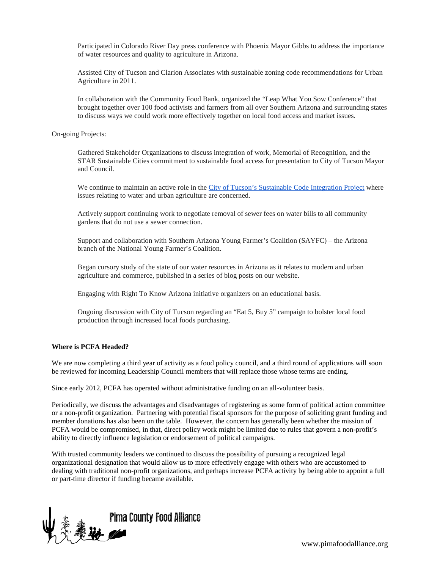Participated in Colorado River Day press conference with Phoenix Mayor Gibbs to address the importance of water resources and quality to agriculture in Arizona.

Assisted City of Tucson and Clarion Associates with sustainable zoning code recommendations for Urban Agriculture in 2011.

In collaboration with the Community Food Bank, organized the "Leap What You Sow Conference" that brought together over 100 food activists and farmers from all over Southern Arizona and surrounding states to discuss ways we could work more effectively together on local food access and market issues.

On-going Projects:

Gathered Stakeholder Organizations to discuss integration of work, Memorial of Recognition, and the STAR Sustainable Cities commitment to sustainable food access for presentation to City of Tucson Mayor and Council.

We continue to maintain an active role in the [City of Tucson's Sustainable Code Integration Project](http://cms3.tucsonaz.gov/plannews/news/sustainable-land-use-code-integration-project) where issues relating to water and urban agriculture are concerned.

Actively support continuing work to negotiate removal of sewer fees on water bills to all community gardens that do not use a sewer connection.

Support and collaboration with Southern Arizona Young Farmer's Coalition (SAYFC) – the Arizona branch of the National Young Farmer's Coalition.

Began cursory study of the state of our water resources in Arizona as it relates to modern and urban agriculture and commerce, published in a series of blog posts on our website.

Engaging with Right To Know Arizona initiative organizers on an educational basis.

Ongoing discussion with City of Tucson regarding an "Eat 5, Buy 5" campaign to bolster local food production through increased local foods purchasing.

## **Where is PCFA Headed?**

We are now completing a third year of activity as a food policy council, and a third round of applications will soon be reviewed for incoming Leadership Council members that will replace those whose terms are ending.

Since early 2012, PCFA has operated without administrative funding on an all-volunteer basis.

Periodically, we discuss the advantages and disadvantages of registering as some form of political action committee or a non-profit organization. Partnering with potential fiscal sponsors for the purpose of soliciting grant funding and member donations has also been on the table. However, the concern has generally been whether the mission of PCFA would be compromised, in that, direct policy work might be limited due to rules that govern a non-profit's ability to directly influence legislation or endorsement of political campaigns.

With trusted community leaders we continued to discuss the possibility of pursuing a recognized legal organizational designation that would allow us to more effectively engage with others who are accustomed to dealing with traditional non-profit organizations, and perhaps increase PCFA activity by being able to appoint a full or part-time director if funding became available.



www.pimafoodalliance.org